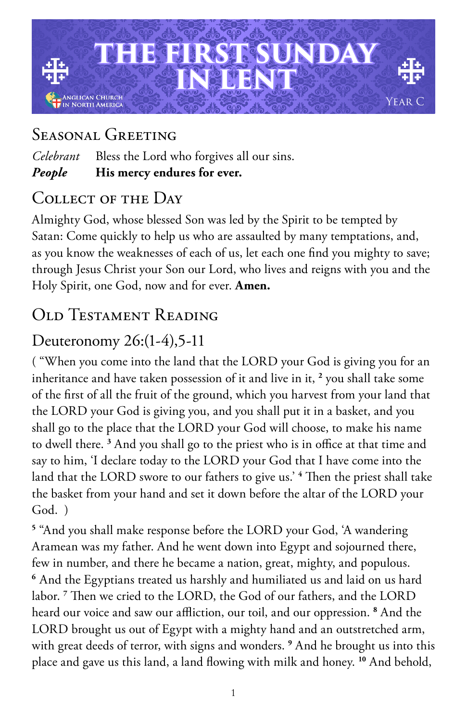

## Seasonal Greeting

*Celebrant* Bless the Lord who forgives all our sins. *People* **His mercy endures for ever.**

#### COLLECT OF THE DAY

Almighty God, whose blessed Son was led by the Spirit to be tempted by Satan: Come quickly to help us who are assaulted by many temptations, and, as you know the weaknesses of each of us, let each one find you mighty to save; through Jesus Christ your Son our Lord, who lives and reigns with you and the Holy Spirit, one God, now and for ever. **Amen.**

# Old Testament Reading

## Deuteronomy 26:(1-4),5-11

( "When you come into the land that the LORD your God is giving you for an inheritance and have taken possession of it and live in it, **<sup>2</sup>** you shall take some of the first of all the fruit of the ground, which you harvest from your land that the LORD your God is giving you, and you shall put it in a basket, and you shall go to the place that the LORD your God will choose, to make his name to dwell there. **<sup>3</sup>** And you shall go to the priest who is in office at that time and say to him, 'I declare today to the LORD your God that I have come into the land that the LORD swore to our fathers to give us.' **<sup>4</sup>** Then the priest shall take the basket from your hand and set it down before the altar of the LORD your God. )

**5** "And you shall make response before the LORD your God, 'A wandering Aramean was my father. And he went down into Egypt and sojourned there, few in number, and there he became a nation, great, mighty, and populous. **<sup>6</sup>** And the Egyptians treated us harshly and humiliated us and laid on us hard labor. **<sup>7</sup>** Then we cried to the LORD, the God of our fathers, and the LORD heard our voice and saw our affliction, our toil, and our oppression. **<sup>8</sup>** And the LORD brought us out of Egypt with a mighty hand and an outstretched arm, with great deeds of terror, with signs and wonders. **<sup>9</sup>** And he brought us into this place and gave us this land, a land flowing with milk and honey. **10** And behold,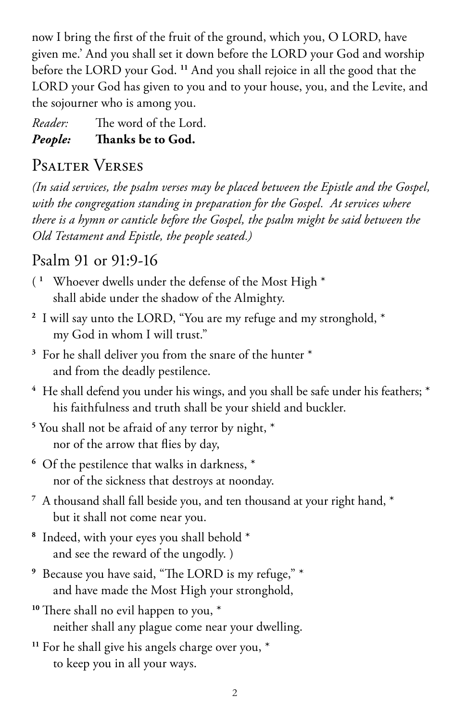now I bring the first of the fruit of the ground, which you, O LORD, have given me.' And you shall set it down before the LORD your God and worship before the LORD your God. **<sup>11</sup>** And you shall rejoice in all the good that the LORD your God has given to you and to your house, you, and the Levite, and the sojourner who is among you.

*Reader:* The word of the Lord.

#### *People:* **Thanks be to God.**

## Psalter Verses

*(In said services, the psalm verses may be placed between the Epistle and the Gospel, with the congregation standing in preparation for the Gospel. At services where there is a hymn or canticle before the Gospel, the psalm might be said between the Old Testament and Epistle, the people seated.)*

## Psalm 91 or 91:9-16

- ( **<sup>1</sup>** Whoever dwells under the defense of the Most High \* shall abide under the shadow of the Almighty.
- **<sup>2</sup>** I will say unto the LORD, "You are my refuge and my stronghold, \* my God in whom I will trust."
- **<sup>3</sup>** For he shall deliver you from the snare of the hunter \* and from the deadly pestilence.
- <sup>4</sup> He shall defend you under his wings, and you shall be safe under his feathers; \* his faithfulness and truth shall be your shield and buckler.
- **5** You shall not be afraid of any terror by night, \* nor of the arrow that flies by day,
- **<sup>6</sup>** Of the pestilence that walks in darkness, \* nor of the sickness that destroys at noonday.
- **<sup>7</sup>** A thousand shall fall beside you, and ten thousand at your right hand, \* but it shall not come near you.
- **<sup>8</sup>** Indeed, with your eyes you shall behold \* and see the reward of the ungodly. )
- **<sup>9</sup>** Because you have said, "The LORD is my refuge," \* and have made the Most High your stronghold,
- <sup>10</sup> There shall no evil happen to you,  $*$ neither shall any plague come near your dwelling.
- **<sup>11</sup>** For he shall give his angels charge over you, \* to keep you in all your ways.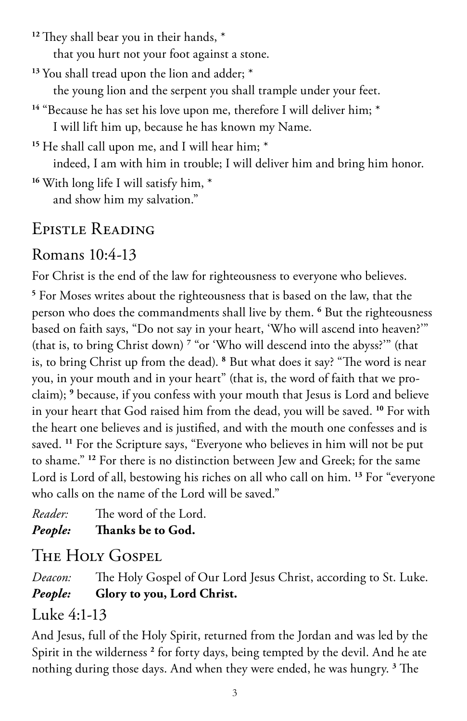**<sup>12</sup>** They shall bear you in their hands, \*

that you hurt not your foot against a stone.

**<sup>13</sup>** You shall tread upon the lion and adder; \*

the young lion and the serpent you shall trample under your feet.

<sup>14</sup> "Because he has set his love upon me, therefore I will deliver him; \* I will lift him up, because he has known my Name.

**<sup>15</sup>** He shall call upon me, and I will hear him; \* indeed, I am with him in trouble; I will deliver him and bring him honor.

**<sup>16</sup>** With long life I will satisfy him, \* and show him my salvation."

# Epistle Reading

## Romans 10:4-13

For Christ is the end of the law for righteousness to everyone who believes.

**5** For Moses writes about the righteousness that is based on the law, that the person who does the commandments shall live by them. **<sup>6</sup>** But the righteousness based on faith says, "Do not say in your heart, 'Who will ascend into heaven?'" (that is, to bring Christ down) **<sup>7</sup>** "or 'Who will descend into the abyss?'" (that is, to bring Christ up from the dead). **<sup>8</sup>** But what does it say? "The word is near you, in your mouth and in your heart" (that is, the word of faith that we proclaim); **<sup>9</sup>** because, if you confess with your mouth that Jesus is Lord and believe in your heart that God raised him from the dead, you will be saved. **<sup>10</sup>** For with the heart one believes and is justified, and with the mouth one confesses and is saved. **<sup>11</sup>** For the Scripture says, "Everyone who believes in him will not be put to shame." **<sup>12</sup>** For there is no distinction between Jew and Greek; for the same Lord is Lord of all, bestowing his riches on all who call on him. **<sup>13</sup>** For "everyone who calls on the name of the Lord will be saved."

*Reader:* The word of the Lord. *People:* **Thanks be to God.** 

# THE HOLY GOSPEL

*Deacon:* The Holy Gospel of Our Lord Jesus Christ, according to St. Luke. *People:* **Glory to you, Lord Christ.**

## Luke 4:1-13

And Jesus, full of the Holy Spirit, returned from the Jordan and was led by the Spirit in the wilderness **<sup>2</sup>** for forty days, being tempted by the devil. And he ate nothing during those days. And when they were ended, he was hungry. **<sup>3</sup>** The